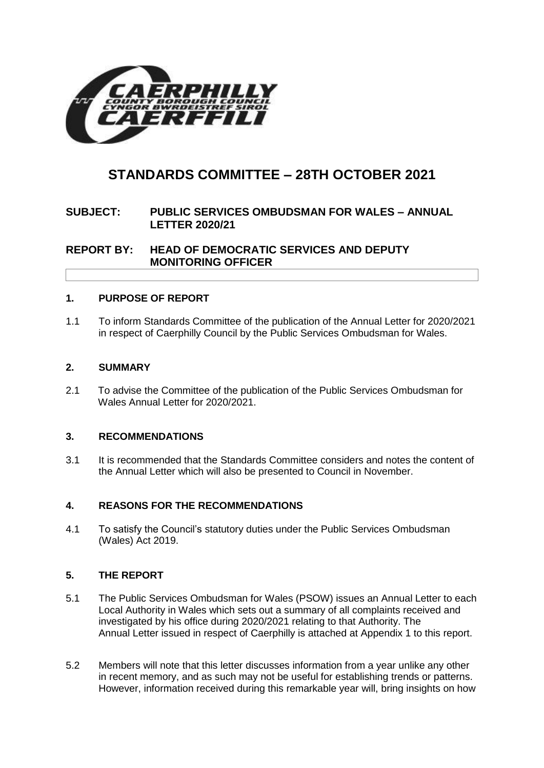

# **STANDARDS COMMITTEE – 28TH OCTOBER 2021**

# **SUBJECT: PUBLIC SERVICES OMBUDSMAN FOR WALES – ANNUAL LETTER 2020/21**

**REPORT BY: HEAD OF DEMOCRATIC SERVICES AND DEPUTY MONITORING OFFICER**

## **1. PURPOSE OF REPORT**

1.1 To inform Standards Committee of the publication of the Annual Letter for 2020/2021 in respect of Caerphilly Council by the Public Services Ombudsman for Wales.

## **2. SUMMARY**

2.1 To advise the Committee of the publication of the Public Services Ombudsman for Wales Annual Letter for 2020/2021.

## **3. RECOMMENDATIONS**

3.1 It is recommended that the Standards Committee considers and notes the content of the Annual Letter which will also be presented to Council in November.

## **4. REASONS FOR THE RECOMMENDATIONS**

4.1 To satisfy the Council's statutory duties under the Public Services Ombudsman (Wales) Act 2019.

## **5. THE REPORT**

- 5.1 The Public Services Ombudsman for Wales (PSOW) issues an Annual Letter to each Local Authority in Wales which sets out a summary of all complaints received and investigated by his office during 2020/2021 relating to that Authority. The Annual Letter issued in respect of Caerphilly is attached at Appendix 1 to this report.
- 5.2 Members will note that this letter discusses information from a year unlike any other in recent memory, and as such may not be useful for establishing trends or patterns. However, information received during this remarkable year will, bring insights on how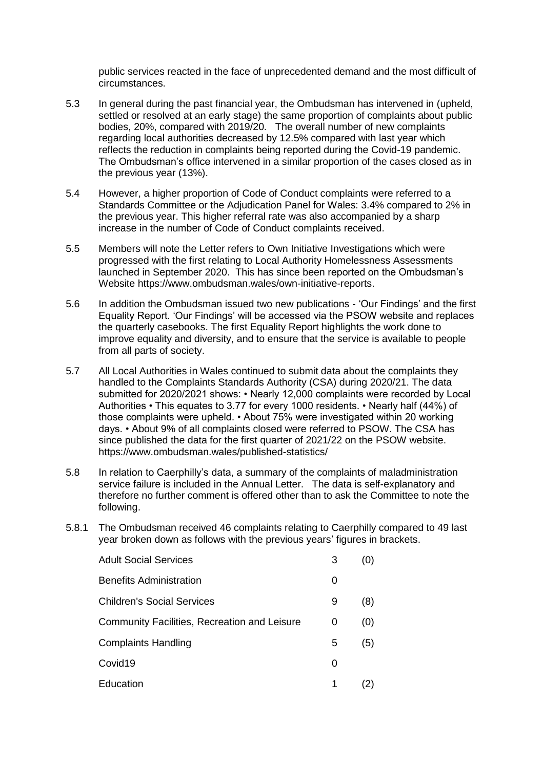public services reacted in the face of unprecedented demand and the most difficult of circumstances.

- 5.3 In general during the past financial year, the Ombudsman has intervened in (upheld, settled or resolved at an early stage) the same proportion of complaints about public bodies, 20%, compared with 2019/20. The overall number of new complaints regarding local authorities decreased by 12.5% compared with last year which reflects the reduction in complaints being reported during the Covid-19 pandemic. The Ombudsman's office intervened in a similar proportion of the cases closed as in the previous year (13%).
- 5.4 However, a higher proportion of Code of Conduct complaints were referred to a Standards Committee or the Adjudication Panel for Wales: 3.4% compared to 2% in the previous year. This higher referral rate was also accompanied by a sharp increase in the number of Code of Conduct complaints received.
- 5.5 Members will note the Letter refers to Own Initiative Investigations which were progressed with the first relating to Local Authority Homelessness Assessments launched in September 2020. This has since been reported on the Ombudsman's Website <https://www.ombudsman.wales/own-initiative-reports.>
- 5.6 In addition the Ombudsman issued two new publications 'Our Findings' and the first Equality Report. 'Our Findings' will be accessed via the PSOW website and replaces the quarterly casebooks. The first Equality Report highlights the work done to improve equality and diversity, and to ensure that the service is available to people from all parts of society.
- 5.7 All Local Authorities in Wales continued to submit data about the complaints they handled to the Complaints Standards Authority (CSA) during 2020/21. The data submitted for 2020/2021 shows: • Nearly 12,000 complaints were recorded by Local Authorities • This equates to 3.77 for every 1000 residents. • Nearly half (44%) of those complaints were upheld. • About 75% were investigated within 20 working days. • About 9% of all complaints closed were referred to PSOW. The CSA has since published the data for the first quarter of 2021/22 on the PSOW website. <https://www.ombudsman.wales/published-statistics/>
- 5.8 In relation to Caerphilly's data, a summary of the complaints of maladministration service failure is included in the Annual Letter. The data is self-explanatory and therefore no further comment is offered other than to ask the Committee to note the following.
- 5.8.1 The Ombudsman received 46 complaints relating to Caerphilly compared to 49 last year broken down as follows with the previous years' figures in brackets.

| <b>Adult Social Services</b>                 | 3 |     |
|----------------------------------------------|---|-----|
| <b>Benefits Administration</b>               | O |     |
| <b>Children's Social Services</b>            | 9 | (8) |
| Community Facilities, Recreation and Leisure | 0 | (0) |
| <b>Complaints Handling</b>                   | 5 | (5) |
| Covid <sub>19</sub>                          | 0 |     |
| Education                                    | 1 | 2)  |
|                                              |   |     |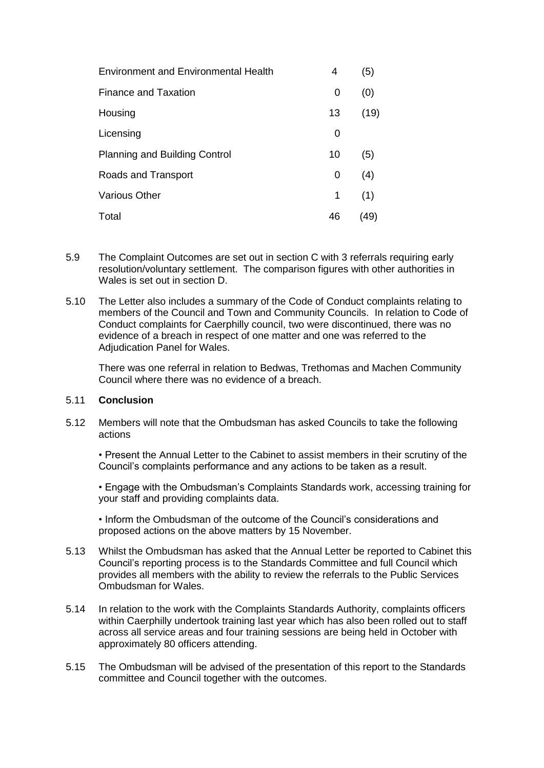| <b>Environment and Environmental Health</b> | 4               | (5)  |
|---------------------------------------------|-----------------|------|
| Finance and Taxation                        | 0               | (0)  |
| Housing                                     | 13 <sup>°</sup> | (19) |
| Licensing                                   | 0               |      |
| <b>Planning and Building Control</b>        | 10              | (5)  |
| Roads and Transport                         | 0               | (4)  |
| <b>Various Other</b>                        | 1               | (1)  |
| Total                                       | 46              | (49) |

- 5.9 The Complaint Outcomes are set out in section C with 3 referrals requiring early resolution/voluntary settlement. The comparison figures with other authorities in Wales is set out in section D.
- 5.10 The Letter also includes a summary of the Code of Conduct complaints relating to members of the Council and Town and Community Councils. In relation to Code of Conduct complaints for Caerphilly council, two were discontinued, there was no evidence of a breach in respect of one matter and one was referred to the Adjudication Panel for Wales.

There was one referral in relation to Bedwas, Trethomas and Machen Community Council where there was no evidence of a breach.

#### 5.11 **Conclusion**

5.12 Members will note that the Ombudsman has asked Councils to take the following actions

• Present the Annual Letter to the Cabinet to assist members in their scrutiny of the Council's complaints performance and any actions to be taken as a result.

• Engage with the Ombudsman's Complaints Standards work, accessing training for your staff and providing complaints data.

• Inform the Ombudsman of the outcome of the Council's considerations and proposed actions on the above matters by 15 November.

- 5.13 Whilst the Ombudsman has asked that the Annual Letter be reported to Cabinet this Council's reporting process is to the Standards Committee and full Council which provides all members with the ability to review the referrals to the Public Services Ombudsman for Wales.
- 5.14 In relation to the work with the Complaints Standards Authority, complaints officers within Caerphilly undertook training last year which has also been rolled out to staff across all service areas and four training sessions are being held in October with approximately 80 officers attending.
- 5.15 The Ombudsman will be advised of the presentation of this report to the Standards committee and Council together with the outcomes.